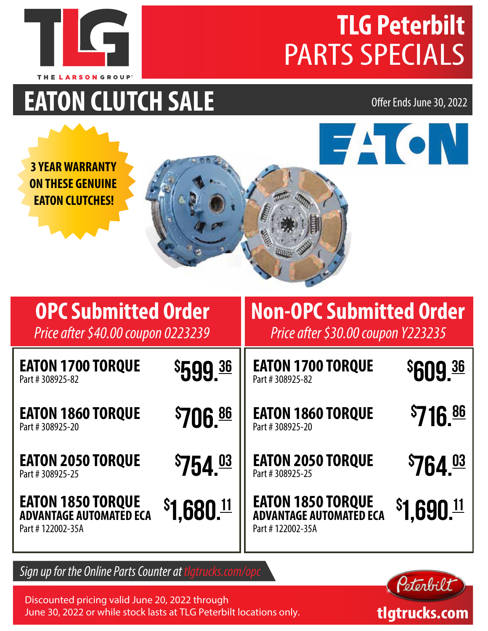

## **TLG Peterbilt** PARTS SPECIALS

## **EATON CLUTCH SALE**

Offer Ends June 30, 2022

FACN

**3 YEAR WARRANTY ON THESE GENUINE EATON CLUTCHES!**



**EATON 2050 TORQUE** Part # 308925-25

\$ 1,680.11 Part # 122002-35A **EATON 1850 TORQUE ADVANTAGE AUTOMATED ECA**

Part # 308925-25 **EATON 1850 TORQUE ADVANTAGE AUTOMATED ECA**

**EATON 2050 TORQUE**

Part # 122002-35A

*(Peterbilt)*<br>tlgtrucks.com

\$ 764.03

\$ 1,690.11

Discounted pricing valid June 20, 2022 through

*Sign up for the Online Parts Counter at tlgtrucks.com/opc*

June 30, 2022 or while stock lasts at TLG Peterbilt locations only.

 $$754.03$